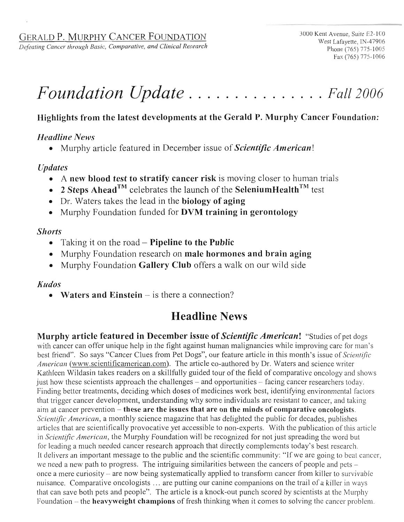*Defeating Cancer through Basic, Comparative, and Clinical Research* Phone (765) 775-1005

Fax (765) 775-1006

Foundation Update . . . . . . . . . . . . . . . Fall 2006

#### Highlights from the latest developments at the Gerald P. Murphy Cancer Foundation:

#### *Headline News*

• Murphy article featured in December issue of *Scientific American!* 

#### *Updates*

- A new blood test to stratify cancer risk is moving closer to human trials
- 2 Steps Ahead<sup>TM</sup> celebrates the launch of the Selenium Health<sup>TM</sup> test
- Dr. Waters takes the lead in the biology of aging
- Murphy Foundation funded for **DVM training in gerontology**

#### *Shorts*

- Taking it on the road  $-$  Pipeline to the Public
- Murphy Foundation research on male hormones and brain aging
- Murphy Foundation Gallery Club offers a walk on our wild side

#### *Kudos*

• Waters and Einstein  $-$  is there a connection?

# Headline News

Murphy article featured in December issue of *Scientific American!* "Studies of pet dogs with cancer can offer unique help in the fight against human malignancies while improving care for man's best friend". So says "Cancer Clues from Pet Dogs", our feature articlc in this month's issue of *Scientific American* (www.scientificamerican.com). The article co-authored by Dr. Waters and science writer Kathleen Wildasin takes readers on a skillfully guided tour of the field of comparative oncology and shows just how these scientists approach the challenges – and opportunities – facing cancer researchers today. Finding better treatments, deciding which doses of medicines work best, identifying environmental factors that trigger cancer development, understanding why some individuals are resistant to cancer, and taking aim at cancer prevention  $-$  these are the issues that are on the minds of comparative oncologists. *Scientific American*, a monthly science magazine that has delighted the public for decades, publishes articles that are scientifically provocative yet accessible to non-experts. With the publication of this article in *Scientific American*, the Murphy Foundation will be recognized for not just spreading the word but for leading a much needed cancer research approach that directly complements today's best research. It delivers an important message to the public and the scientific community: "If we are going to beat cancer, we need a new path to progress. The intriguing similarities between the cancers of people and pets – once a mere curiosity - are now being systematically applied to transform cancer from killer to survivable nuisance. Comparative oncologists ... are putting our canine companions on the trail of a killer in ways that can save both pets and people". The article is a knock-out punch scored by scientists at the Murphy Foundation  $-$  the heavyweight champions of fresh thinking when it comes to solving the cancer problem.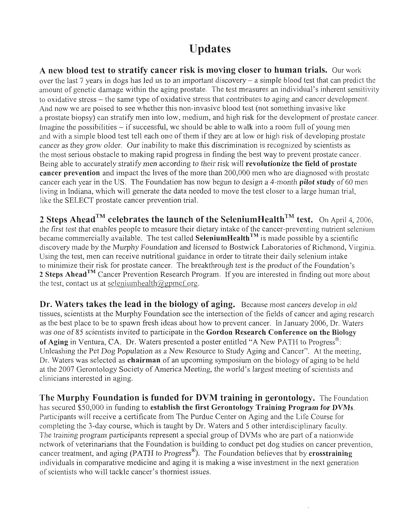# Updates

A new blood test to stratify cancer risk is moving closer to human trials. Our work over the last 7 years in dogs has led us to an important discovery - a simple blood test that can predict the amount of genetic damage within the aging prostate. The test measures an individual's inherent sensitivity to oxidative stress - the same type of oxidative stress that contributes to aging and cancer development. And now we are poised to see whether this non-invasive blood test (not something invasive like a prostate biopsy) can stratify men into low, medium, and high risk for the development of prostate cancer. Imagine the possibilities  $-$  if successful, we should be able to walk into a room full of young men and with a simple blood test tell each one of them if they are at low or high risk of developing prostate cancer as they grow older. Our inability to make this discrimination is recognized by scientists as the most serious obstacle to making rapid progress in finding the best way to prevent prostate cancer. Being able to accurately stratify men according to their risk will revolutionize the field of prostate cancer prevention and impact the lives of the more than 200,000 men who are diagnosed with prostate cancer each year in the US. The Foundation has now begun to design a 4-month **pilot study** of 60 men living in Indiana, which will generate the data needed to move the test closer to a large human trial, like the SELECT prostate cancer prevention trial.

2 Steps Ahead<sup>TM</sup> celebrates the launch of the SeleniumHealth<sup>TM</sup> test. On April 4, 2006, the first test that enables people to measure their dietary intake of the cancer-preventing nutrient selenium became commercially available. The test called **SeleniumHealth**<sup>™</sup> is made possible by a scientific discovery made by the Murphy Foundation and licensed to Bostwick Laboratories of Richmond, Virginia. Using the test, men can receive nutritional guidance in order to titrate their daily selenium intake to minimize their risk for prostate cancer. The breakthrough test is the product of the Foundation's 2 Steps Ahead<sup>TM</sup> Cancer Prevention Research Program. If you are interested in finding out more about the test, contact us at seleniumhealth $(\partial g$ pmcf.org.

Dr. Waters takes the lead in the biology of aging. Because most cancers develop in old tissues, scientists at the Murphy Foundation see the intersection of the fields of cancer and aging research as the best place to be to spawn fresh ideas about bow to prevent cancer. In January 2006, Dr. Waters was one of 85 scientists invited to participate in the **Gordon Research Conference on the Biology** of Aging in Ventura, CA. Dr. Waters presented a poster entitled "A New PATH to Progress": Unleashing the Pet Dog Population as a New Resource to Study Aging and Cancer". At the meeting, Dr. Waters was selected as **chairman** of an upcoming symposium on the biology of aging to be held at the 2007 Gerontology Society of America Meeting, the world's largest meeting of scientists and clinicians interested in aging.

The Murphy Foundation is funded for DVM training in gerontology. The Foundation has secured \$50,000 in funding to establish the first Gerontology Training Program for DVMs. Participants will receive a certificate from The Purdue Center on Aging and the Life Course for completing the 3-day course, which is taught by Dr. Waters and 5 other interdisciplinary faculty. The training program participants represent a special group of DVMs who are part of a nationwide network of veterinarians that the Foundation is building to conduct pet dog studies on cancer prevention, cancer treatment, and aging (PATH to Progress<sup>®</sup>). The Foundation believes that by **crosstraining** individuals in comparative medicine and aging it is making a wise investment in the next generation of scientists who will tackle cancer's thorniest issues.